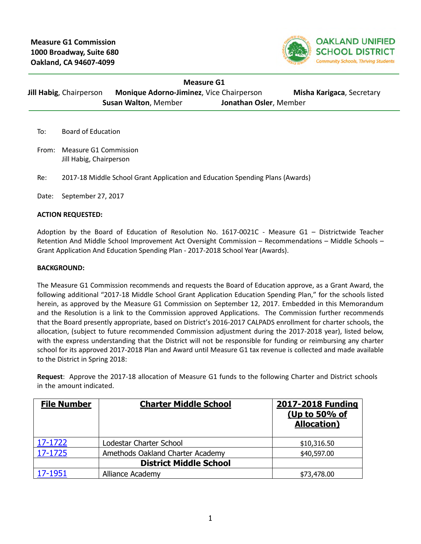

| Measure G1              |                                                 |                        |                           |  |  |  |
|-------------------------|-------------------------------------------------|------------------------|---------------------------|--|--|--|
| Jill Habig, Chairperson | <b>Monique Adorno-Jiminez, Vice Chairperson</b> |                        | Misha Karigaca, Secretary |  |  |  |
|                         | <b>Susan Walton, Member</b>                     | Jonathan Osler, Member |                           |  |  |  |

To: Board of Education

From: Measure G1 Commission Jill Habig, Chairperson

Re: 2017-18 Middle School Grant Application and Education Spending Plans (Awards)

Date: September 27, 2017

#### **ACTION REQUESTED:**

Adoption by the Board of Education of Resolution No. 1617-0021C - Measure G1 – Districtwide Teacher Retention And Middle School Improvement Act Oversight Commission – Recommendations – Middle Schools – Grant Application And Education Spending Plan - 2017-2018 School Year (Awards).

#### **BACKGROUND:**

The Measure G1 Commission recommends and requests the Board of Education approve, as a Grant Award, the following additional "2017-18 Middle School Grant Application Education Spending Plan," for the schools listed herein, as approved by the Measure G1 Commission on September 12, 2017. Embedded in this Memorandum and the Resolution is a link to the Commission approved Applications. The Commission further recommends that the Board presently appropriate, based on District's 2016-2017 CALPADS enrollment for charter schools, the allocation, (subject to future recommended Commission adjustment during the 2017-2018 year), listed below, with the express understanding that the District will not be responsible for funding or reimbursing any charter school for its approved 2017-2018 Plan and Award until Measure G1 tax revenue is collected and made available to the District in Spring 2018:

**Request**: Approve the 2017-18 allocation of Measure G1 funds to the following Charter and District schools in the amount indicated.

| <b>File Number</b> | <b>Charter Middle School</b>     | 2017-2018 Funding<br>(Up to 50% of<br><b>Allocation</b> ) |
|--------------------|----------------------------------|-----------------------------------------------------------|
| 17-1722            | Lodestar Charter School          | \$10,316.50                                               |
| 17-1725            | Amethods Oakland Charter Academy | \$40,597.00                                               |
|                    | <b>District Middle School</b>    |                                                           |
| 17-1951            | Alliance Academy                 | \$73,478.00                                               |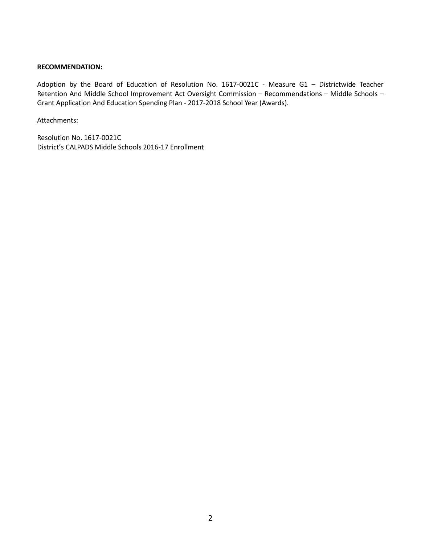#### **RECOMMENDATION:**

Adoption by the Board of Education of Resolution No. 1617-0021C - Measure G1 – Districtwide Teacher Retention And Middle School Improvement Act Oversight Commission – Recommendations – Middle Schools – Grant Application And Education Spending Plan - 2017-2018 School Year (Awards).

Attachments:

Resolution No. 1617-0021C District's CALPADS Middle Schools 2016-17 Enrollment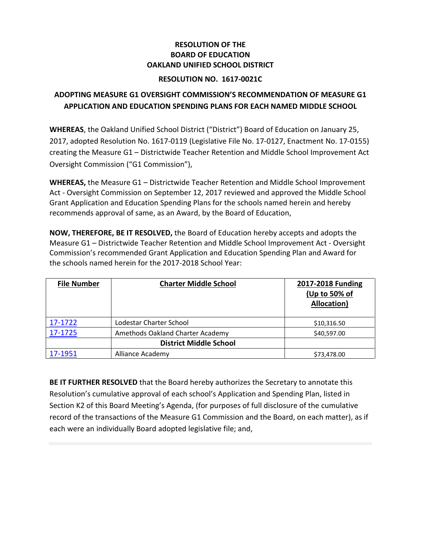## **RESOLUTION OF THE BOARD OF EDUCATION OAKLAND UNIFIED SCHOOL DISTRICT**

### **RESOLUTION NO. 1617-0021C**

# **ADOPTING MEASURE G1 OVERSIGHT COMMISSION'S RECOMMENDATION OF MEASURE G1 APPLICATION AND EDUCATION SPENDING PLANS FOR EACH NAMED MIDDLE SCHOOL**

**WHEREAS**, the Oakland Unified School District ("District") Board of Education on January 25, 2017, adopted Resolution No. 1617-0119 (Legislative File No. 17-0127, Enactment No. 17-0155) creating the Measure G1 – Districtwide Teacher Retention and Middle School Improvement Act Oversight Commission ("G1 Commission"),

**WHEREAS,** the Measure G1 – Districtwide Teacher Retention and Middle School Improvement Act - Oversight Commission on September 12, 2017 reviewed and approved the Middle School Grant Application and Education Spending Plans for the schools named herein and hereby recommends approval of same, as an Award, by the Board of Education,

**NOW, THEREFORE, BE IT RESOLVED,** the Board of Education hereby accepts and adopts the Measure G1 – Districtwide Teacher Retention and Middle School Improvement Act - Oversight Commission's recommended Grant Application and Education Spending Plan and Award for the schools named herein for the 2017-2018 School Year:

| <b>File Number</b> | <b>Charter Middle School</b>     | 2017-2018 Funding<br>(Up to 50% of<br>Allocation) |
|--------------------|----------------------------------|---------------------------------------------------|
| 17-1722            | Lodestar Charter School          | \$10,316.50                                       |
| 17-1725            | Amethods Oakland Charter Academy | \$40,597.00                                       |
|                    | <b>District Middle School</b>    |                                                   |
| 17-1951            | Alliance Academy                 | \$73,478.00                                       |

**BE IT FURTHER RESOLVED** that the Board hereby authorizes the Secretary to annotate this Resolution's cumulative approval of each school's Application and Spending Plan, listed in Section K2 of this Board Meeting's Agenda, (for purposes of full disclosure of the cumulative record of the transactions of the Measure G1 Commission and the Board, on each matter), as if each were an individually Board adopted legislative file; and,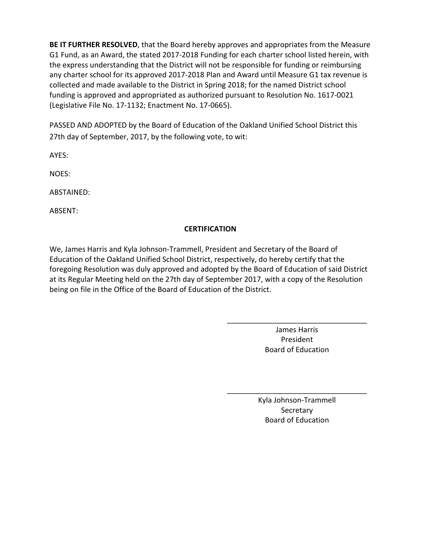**BE IT FURTHER RESOLVED**, that the Board hereby approves and appropriates from the Measure G1 Fund, as an Award, the stated 2017-2018 Funding for each charter school listed herein, with the express understanding that the District will not be responsible for funding or reimbursing any charter school for its approved 2017-2018 Plan and Award until Measure G1 tax revenue is collected and made available to the District in Spring 2018; for the named District school funding is approved and appropriated as authorized pursuant to Resolution No. 1617-0021 (Legislative File No. 17-1132; Enactment No. 17-0665).

PASSED AND ADOPTED by the Board of Education of the Oakland Unified School District this 27th day of September, 2017, by the following vote, to wit:

AYES:

NOES:

ABSTAINED:

ABSENT:

# **CERTIFICATION**

We, James Harris and Kyla Johnson-Trammell, President and Secretary of the Board of Education of the Oakland Unified School District, respectively, do hereby certify that the foregoing Resolution was duly approved and adopted by the Board of Education of said District at its Regular Meeting held on the 27th day of September 2017, with a copy of the Resolution being on file in the Office of the Board of Education of the District.

> James Harris President Board of Education

\_\_\_\_\_\_\_\_\_\_\_\_\_\_\_\_\_\_\_\_\_\_\_\_\_\_\_\_\_\_\_\_\_\_

Kyla Johnson-Trammell **Secretary** Board of Education

\_\_\_\_\_\_\_\_\_\_\_\_\_\_\_\_\_\_\_\_\_\_\_\_\_\_\_\_\_\_\_\_\_\_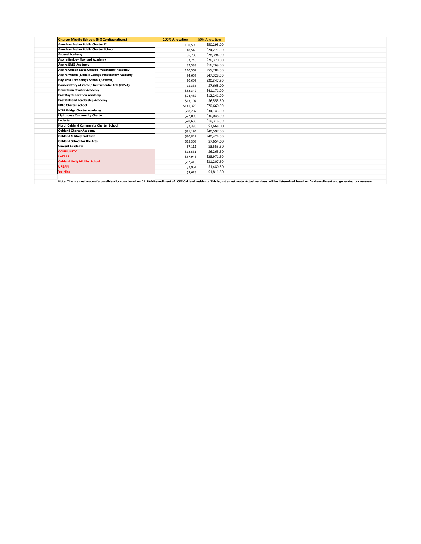| <b>Charter Middle Schools (6-8 Configurations)</b> | <b>100% Allocation</b> | <b>50% Allocation</b> |  |  |  |
|----------------------------------------------------|------------------------|-----------------------|--|--|--|
| <b>American Indian Public Charter II</b>           | 100,590                | \$50,295.00           |  |  |  |
| American Indian Public Charter School              | 48,543                 | \$24,271.50           |  |  |  |
| <b>Ascend Academy</b>                              | 56,788                 | \$28,394.00           |  |  |  |
| <b>Aspire Berkley Maynard Academy</b>              | 52,740                 | \$26,370.00           |  |  |  |
| <b>Aspire ERES Academy</b>                         | 32,538                 | \$16,269.00           |  |  |  |
| Aspire Golden State College Preparatory Academy    | 110,569                | \$55,284.50           |  |  |  |
| Aspire Wilson (Lionel) College Preparatory Academy | 94,657                 | \$47,328.50           |  |  |  |
| <b>Bay Area Technology School (Baytech)</b>        | 60,695                 | \$30,347.50           |  |  |  |
| Conservatory of Vocal / Instrumental Arts (COVA)   | 15,336                 | \$7,668.00            |  |  |  |
| <b>Downtown Charter Academy</b>                    | \$82,342               | \$41,171.00           |  |  |  |
| <b>East Bay Innovation Academy</b>                 | \$24,482               | \$12,241.00           |  |  |  |
| <b>East Oakland Leadership Academy</b>             | \$13,107               | \$6,553.50            |  |  |  |
| <b>EPIC Charter School</b>                         | \$141,320              | \$70,660.00           |  |  |  |
| <b>KIPP Bridge Charter Academy</b>                 | \$68,287               | \$34,143.50           |  |  |  |
| <b>Lighthouse Community Charter</b>                | \$72,096               | \$36,048.00           |  |  |  |
| Lodestar                                           | \$20,633               | \$10,316.50           |  |  |  |
| <b>North Oakland Community Charter School</b>      | \$7,336                | \$3,668.00            |  |  |  |
| <b>Oakland Charter Academy</b>                     | \$81,194               | \$40,597.00           |  |  |  |
| <b>Oakland Military Institute</b>                  | \$80,849               | \$40,424.50           |  |  |  |
| Oakland School for the Arts                        | \$15,308               | \$7,654.00            |  |  |  |
| <b>Vincent Academy</b>                             | \$7,111                | \$3,555.50            |  |  |  |
| <b>COMMUNITY</b>                                   | \$12,531               | \$6,265.50            |  |  |  |
| <b>LAZEAR</b>                                      | \$57,943               | \$28,971.50           |  |  |  |
| <b>Oakland Unity Middle School</b>                 | \$62,415               | \$31,207.50           |  |  |  |
| <b>URBAN</b>                                       | \$2,961                | \$1,480.50            |  |  |  |
| <b>Yu-Ming</b>                                     | \$3,623                | \$1,811.50            |  |  |  |
|                                                    |                        |                       |  |  |  |

Note: This is an estimate of a possible allocation based on CALPADS enrollment of LCFF Oakland residents. This is just an estimate. Actual numbers will be determined based on final enrollment and generated tax revenue.